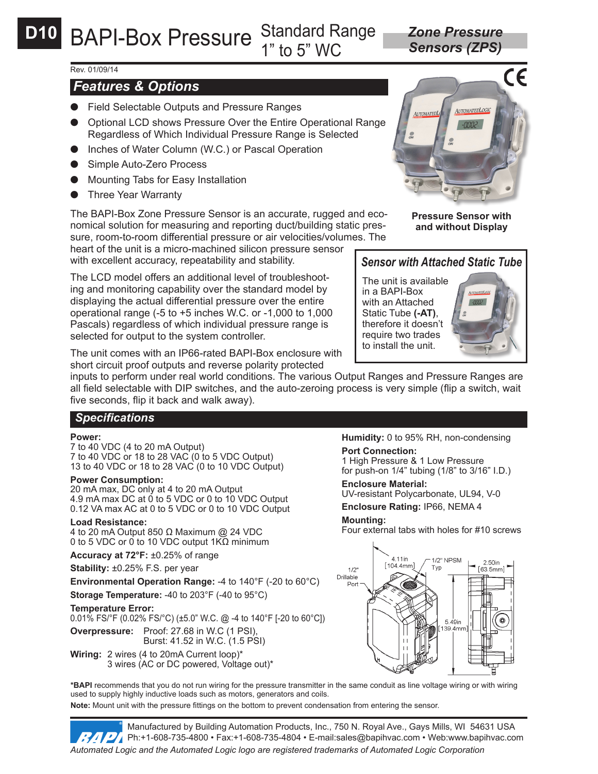*Sensors (ZPS)*

### Rev. 01/09/14

# *Features & Options*

- Field Selectable Outputs and Pressure Ranges
- **Optional LCD shows Pressure Over the Entire Operational Range** Regardless of Which Individual Pressure Range is Selected
- Inches of Water Column (W.C.) or Pascal Operation
- Simple Auto-Zero Process
- Mounting Tabs for Easy Installation
- Three Year Warranty

The BAPI-Box Zone Pressure Sensor is an accurate, rugged and economical solution for measuring and reporting duct/building static pressure, room-to-room differential pressure or air velocities/volumes. The

heart of the unit is a micro-machined silicon pressure sensor with excellent accuracy, repeatability and stability.

The LCD model offers an additional level of troubleshooting and monitoring capability over the standard model by displaying the actual differential pressure over the entire operational range (-5 to +5 inches W.C. or -1,000 to 1,000 Pascals) regardless of which individual pressure range is selected for output to the system controller.

The unit comes with an IP66-rated BAPI-Box enclosure with short circuit proof outputs and reverse polarity protected

inputs to perform under real world conditions. The various Output Ranges and Pressure Ranges are all field selectable with DIP switches, and the auto-zeroing process is very simple (flip a switch, wait five seconds, flip it back and walk away).

## *Specifications*

#### **Power:**

7 to 40 VDC (4 to 20 mA Output) 7 to 40 VDC or 18 to 28 VAC (0 to 5 VDC Output) 13 to 40 VDC or 18 to 28 VAC (0 to 10 VDC Output)

#### **Power Consumption:**

20 mA max, DC only at 4 to 20 mA Output 4.9 mA max DC at 0 to 5 VDC or 0 to 10 VDC Output 0.12 VA max AC at 0 to 5 VDC or 0 to 10 VDC Output

#### **Load Resistance:**

4 to 20 mA Output 850 Ω Maximum @ 24 VDC 0 to 5 VDC or 0 to 10 VDC output 1KΩ minimum

**Accuracy at 72°F:** ±0.25% of range

**Stability:** ±0.25% F.S. per year

**Environmental Operation Range:** -4 to 140°F (-20 to 60°C)

**Storage Temperature:** -40 to 203°F (-40 to 95°C)

#### **Temperature Error:**

0.01% FS/°F (0.02% FS/°C) (±5.0" W.C. @ -4 to 140°F [-20 to 60°C])

**Overpressure:** Proof: 27.68 in W.C (1 PSI), Burst: 41.52 in W.C. (1.5 PSI)

**Wiring:** 2 wires (4 to 20mA Current loop)\* 3 wires (AC or DC powered, Voltage out)\* **Humidity:** 0 to 95% RH, non-condensing **Port Connection:**

1 High Pressure & 1 Low Pressure for push-on 1/4" tubing (1/8" to 3/16" I.D.)

**Enclosure Material:** UV-resistant Polycarbonate, UL94, V-0

**Enclosure Rating:** IP66, NEMA 4

### **Mounting:**

Four external tabs with holes for #10 screws



**\*BAPI** recommends that you do not run wiring for the pressure transmitter in the same conduit as line voltage wiring or with wiring used to supply highly inductive loads such as motors, generators and coils.

**Note:** Mount unit with the pressure fittings on the bottom to prevent condensation from entering the sensor.

Manufactured by Building Automation Products, Inc., 750 N. Royal Ave., Gays Mills, WI 54631 USA Ph:+1-608-735-4800 • Fax:+1-608-735-4804 • E-mail:sales@bapihvac.com • Web:www.bapihvac.com *Automated Logic and the Automated Logic logo are registered trademarks of Automated Logic Corporation*



**Pressure Sensor with and without Display**

# *Sensor with Attached Static Tube*

The unit is available in a BAPI-Box with an Attached Static Tube **(-AT)**, therefore it doesn't require two trades to install the unit.